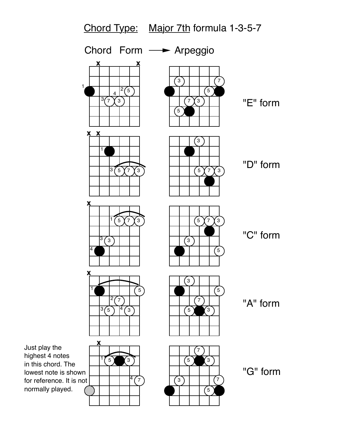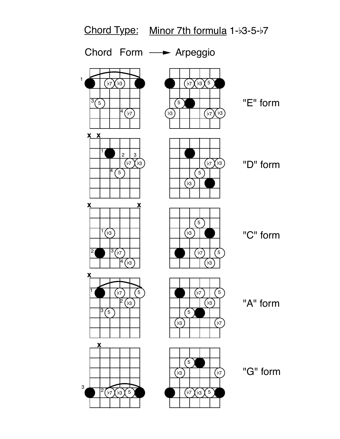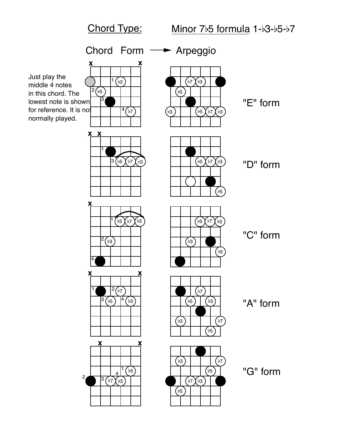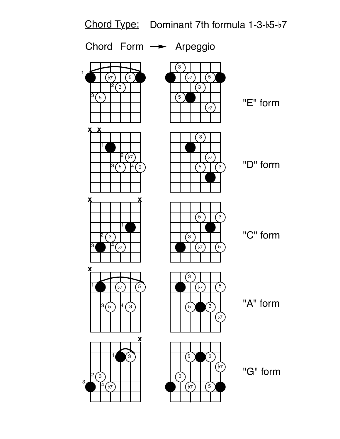